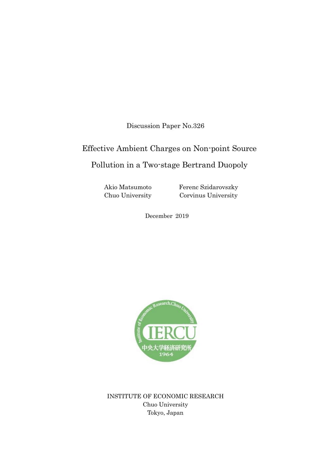Discussion Paper No.326

# Effective Ambient Charges on Non-point Source

## Pollution in a Two-stage Bertrand Duopoly

Akio Matsumoto Chuo University Ferenc Szidarovszky Corvinus University

December 2019



INSTITUTE OF ECONOMIC RESEARCH Chuo University Tokyo, Japan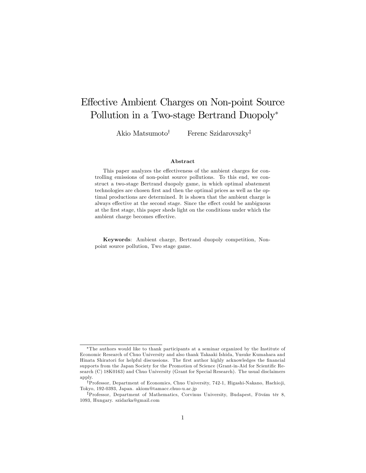## Effective Ambient Charges on Non-point Source Pollution in a Two-stage Bertrand Duopoly

Akio Matsumoto<sup>†</sup> Ferenc Szidarovszky<sup>‡</sup>

#### Abstract

This paper analyzes the effectiveness of the ambient charges for controlling emissions of non-point source pollutions. To this end, we construct a two-stage Bertrand duopoly game, in which optimal abatement technologies are chosen first and then the optimal prices as well as the optimal productions are determined. It is shown that the ambient charge is always effective at the second stage. Since the effect could be ambiguous at the Örst stage, this paper sheds light on the conditions under which the ambient charge becomes effective.

Keywords: Ambient charge, Bertrand duopoly competition, Nonpoint source pollution, Two stage game.

The authors would like to thank participants at a seminar organized by the Institute of Economic Research of Chuo University and also thank Takaaki Ishida, Yusuke Kumahara and Hinata Shiratori for helpful discussions. The first author highly acknowledges the financial supports from the Japan Society for the Promotion of Science (Grant-in-Aid for Scientific Research (C) 18K0163) and Chuo University (Grant for Special Research). The usual disclaimers apply.

<sup>&</sup>lt;sup>†</sup>Professor, Department of Economics, Chuo University, 742-1, Higashi-Nakano, Hachio ji, Tokyo, 192-0393, Japan. akiom@tamacc.chuo-u.ac.jp

<sup>&</sup>lt;sup>‡</sup>Professor, Department of Mathematics, Corvinus University, Budapest, Fövám tér 8, 1093, Hungary. szidarka@gmail.com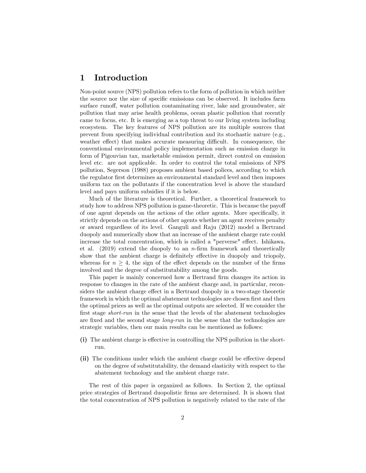## 1 Introduction

Non-point source (NPS) pollution refers to the form of pollution in which neither the source nor the size of specific emissions can be observed. It includes farm surface runoff, water pollution contaminating river, lake and groundwater, air pollution that may arise health problems, ocean plastic pollution that recently came to focus, etc. It is emerging as a top threat to our living system including ecosystem. The key features of NPS pollution are its multiple sources that prevent from specifying individual contribution and its stochastic nature (e.g., weather effect) that makes accurate measuring difficult. In consequence, the conventional environmental policy implementation such as emission charge in form of Pigouvian tax, marketable emission permit, direct control on emission level etc. are not applicable. In order to control the total emissions of NPS pollution, Segerson (1988) proposes ambient based polices, according to which the regulator first determines an environmental standard level and then imposes uniform tax on the pollutants if the concentration level is above the standard level and pays uniform subsidies if it is below.

Much of the literature is theoretical. Further, a theoretical framework to study how to address NPS pollution is game-theoretic. This is because the payoff of one agent depends on the actions of the other agents. More speciÖcally, it strictly depends on the actions of other agents whether an agent receives penalty or award regardless of its level. Ganguli and Raju (2012) model a Bertrand duopoly and numerically show that an increase of the ambient charge rate could increase the total concentration, which is called a "perverse" effect. Ishikawa, et al.  $(2019)$  extend the duopoly to an *n*-firm framework and theoretically show that the ambient charge is definitely effective in duopoly and triopoly, whereas for  $n \geq 4$ , the sign of the effect depends on the number of the firms involved and the degree of substitutability among the goods.

This paper is mainly concerned how a Bertrand firm changes its action in response to changes in the rate of the ambient charge and, in particular, reconsiders the ambient charge effect in a Bertrand duopoly in a two-stage theoretic framework in which the optimal abatement technologies are chosen first and then the optimal prices as well as the optimal outputs are selected. If we consider the first stage *short-run* in the sense that the levels of the abatement technologies are fixed and the second stage *long-run* in the sense that the technologies are strategic variables, then our main results can be mentioned as follows:

- $(i)$  The ambient charge is effective in controlling the NPS pollution in the shortrun.
- (ii) The conditions under which the ambient charge could be effective depend on the degree of substitutability, the demand elasticity with respect to the abatement technology and the ambient charge rate.

The rest of this paper is organized as follows. In Section 2, the optimal price strategies of Bertrand duopolistic Örms are determined. It is shown that the total concentration of NPS pollution is negatively related to the rate of the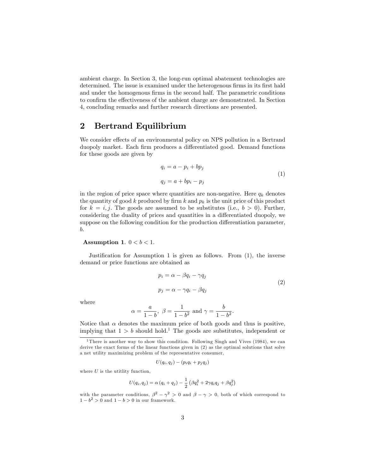ambient charge. In Section 3, the long-run optimal abatement technologies are determined. The issue is examined under the heterogenous firms in its first hald and under the homogenous firms in the second half. The parametric conditions to confirm the effectiveness of the ambient charge are demonstrated. In Section 4, concluding remarks and further research directions are presented.

## 2 Bertrand Equilibrium

We consider effects of an environmental policy on NPS pollution in a Bertrand duopoly market. Each firm produces a differentiated good. Demand functions for these goods are given by

$$
q_i = a - p_i + bp_j
$$
  
\n
$$
q_j = a + bp_i - p_j
$$
\n(1)

in the region of price space where quantities are non-negative. Here  $q_k$  denotes the quantity of good k produced by firm k and  $p_k$  is the unit price of this product for  $k = i, j$ . The goods are assumed to be substitutes (i.e.,  $b > 0$ ). Further, considering the duality of prices and quantities in a differentiated duopoly, we suppose on the following condition for the production differentiation parameter, b.

#### Assumption 1.  $0 < b < 1$ .

Justification for Assumption 1 is given as follows. From  $(1)$ , the inverse demand or price functions are obtained as

$$
p_i = \alpha - \beta q_i - \gamma q_j
$$
  
\n
$$
p_j = \alpha - \gamma q_i - \beta q_j
$$
\n(2)

where

$$
\alpha = \frac{a}{1-b}
$$
,  $\beta = \frac{1}{1-b^2}$  and  $\gamma = \frac{b}{1-b^2}$ .

Notice that  $\alpha$  denotes the maximum price of both goods and thus is positive, implying that  $1 > b$  should hold.<sup>1</sup> The goods are substitutes, independent or

$$
U(q_i,q_j)-(p_iq_i+p_jq_j)
$$

where  $U$  is the utitlity function,

$$
U(q_i, q_j) = \alpha (q_i + q_j) - \frac{1}{2} \left( \beta q_i^2 + 2 \gamma q_i q_j + \beta q_j^2 \right)
$$

<sup>&</sup>lt;sup>1</sup>There is another way to show this condition. Following Singh and Vives (1984), we can derive the exact forms of the linear functions given in (2) as the optimal solutions that solve a net utility maximizing problem of the representative consumer,

with the parameter conditions,  $\beta^2 - \gamma^2 > 0$  and  $\beta - \gamma > 0$ , both of which correspond to  $1 - b^2 > 0$  and  $1 - b > 0$  in our framework.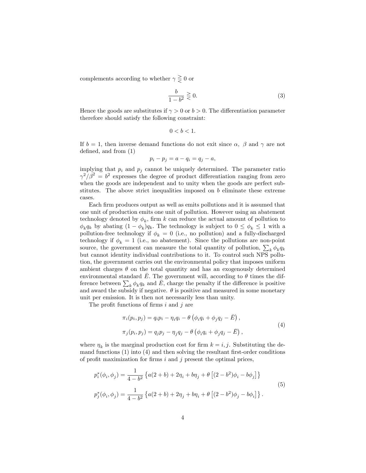complements according to whether  $\gamma \geq 0$  or

$$
\frac{b}{1-b^2} \gtrless 0.
$$
 (3)

Hence the goods are substitutes if  $\gamma > 0$  or  $b > 0$ . The differentiation parameter therefore should satisfy the following constraint:

$$
0
$$

If  $b = 1$ , then inverse demand functions do not exit since  $\alpha$ ,  $\beta$  and  $\gamma$  are not defined, and from  $(1)$ 

$$
p_i - p_j = a - q_i = q_j - a,
$$

implying that  $p_i$  and  $p_j$  cannot be uniquely determined. The parameter ratio  $\gamma^2/\beta^2 = b^2$  expresses the degree of product differentiation ranging from zero when the goods are independent and to unity when the goods are perfect substitutes. The above strict inequalities imposed on b eliminate these extreme cases.

Each Örm produces output as well as emits pollutions and it is assumed that one unit of production emits one unit of pollution. However using an abatement technology denoted by  $\phi_k$ , firm k can reduce the actual amount of pollution to  $\phi_k q_k$  by abating  $(1 - \phi_k) q_k$ . The technology is subject to  $0 \le \phi_k \le 1$  with a pollution-free technology if  $\phi_k = 0$  (i.e., no pollution) and a fully-discharged technology if  $\phi_k = 1$  (i.e., no abatement). Since the pollutions are non-point source, the government can measure the total quantity of pollution,  $\sum_k \phi_k q_k$ but cannot identity individual contributions to it. To control such NPS pollution, the government carries out the environmental policy that imposes uniform ambient charges  $\theta$  on the total quantity and has an exogenously determined environmental standard  $\overline{E}$ . The government will, according to  $\theta$  times the difference between  $\sum_{k} \phi_k q_k$  and  $\overline{E}$ , charge the penalty if the difference is positive and award the subsidy if negative.  $\theta$  is positive and measured in some monetary unit per emission. It is then not necessarily less than unity.

The profit functions of firms  $i$  and  $j$  are

$$
\pi_i(p_i, p_j) = q_i p_i - \eta_i q_i - \theta \left( \phi_i q_i + \phi_j q_j - \bar{E} \right),
$$
  

$$
\pi_j(p_i, p_j) = q_j p_j - \eta_j q_j - \theta \left( \phi_i q_i + \phi_j q_j - \bar{E} \right),
$$
  
(4)

where  $\eta_k$  is the marginal production cost for firm  $k = i, j$ . Substituting the demand functions  $(1)$  into  $(4)$  and then solving the resultant first-order conditions of profit maximization for firms  $i$  and  $j$  present the optimal prices.

$$
p_i^*(\phi_i, \phi_j) = \frac{1}{4 - b^2} \left\{ a(2 + b) + 2\eta_i + b\eta_j + \theta \left[ (2 - b^2)\phi_i - b\phi_j \right] \right\}
$$
  
\n
$$
p_j^*(\phi_i, \phi_j) = \frac{1}{4 - b^2} \left\{ a(2 + b) + 2\eta_j + b\eta_i + \theta \left[ (2 - b^2)\phi_j - b\phi_i \right] \right\}.
$$
  
\n(5)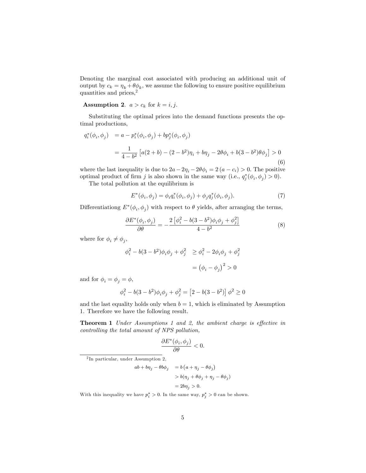Denoting the marginal cost associated with producing an additional unit of output by  $c_k = \eta_k + \theta \phi_k$ , we assume the following to ensure positive equilibrium quantities and prices,<sup>2</sup>

**Assumption 2.**  $a > c_k$  for  $k = i, j$ .

Substituting the optimal prices into the demand functions presents the optimal productions,

$$
q_i^*(\phi_i, \phi_j) = a - p_i^*(\phi_i, \phi_j) + bp_j^*(\phi_i, \phi_j)
$$
  
= 
$$
\frac{1}{4 - b^2} \left[ a(2 + b) - (2 - b^2)\eta_i + b\eta_j - 2\theta\phi_i + b(3 - b^2)\theta\phi_j \right] > 0
$$
  
(6)

where the last inequality is due to  $2a - 2\eta_i - 2\theta \phi_i = 2 (a - c_i) > 0$ . The positive optimal product of firm j is also shown in the same way (i.e.,  $q_j^*(\phi_i, \phi_j) > 0$ ).

The total pollution at the equilibrium is

$$
E^*(\phi_i, \phi_j) = \phi_i q_i^*(\phi_i, \phi_j) + \phi_j q_j^*(\phi_i, \phi_j). \tag{7}
$$

Differentiationg  $E^*(\phi_i, \phi_j)$  with respect to  $\theta$  yields, after arranging the terms,

$$
\frac{\partial E^*(\phi_i, \phi_j)}{\partial \theta} = -\frac{2\left[\phi_i^2 - b(3 - b^2)\phi_i\phi_j + \phi_j^2\right]}{4 - b^2} \tag{8}
$$

where for  $\phi_i \neq \phi_j$ ,

$$
\phi_i^2 - b(3 - b^2)\phi_i \phi_j + \phi_j^2 \ge \phi_i^2 - 2\phi_i \phi_j + \phi_j^2
$$

$$
= (\phi_i - \phi_j)^2 > 0
$$

and for  $\phi_i = \phi_j = \phi$ ,

$$
\phi_i^2 - b(3 - b^2)\phi_i\phi_j + \phi_j^2 = [2 - b(3 - b^2)]\phi^2 \ge 0
$$

and the last equality holds only when  $b = 1$ , which is eliminated by Assumption 1. Therefore we have the following result.

Theorem 1 Under Assumptions 1 and 2, the ambient charge is effective in controlling the total amount of NPS pollution,

$$
\frac{\partial E^*(\phi_i, \phi_j)}{\partial \theta} < 0.
$$

2 In particular, under Assumption 2,

$$
ab + b\eta_j - \theta b\phi_j = b\left(a + \eta_j - \theta\phi_j\right)
$$
  
> b(\eta\_j + \theta\phi\_j + \eta\_j - \theta\phi\_j)  
= 2b\eta\_j > 0.

With this inequality we have  $p_i^* > 0$ . In the same way,  $p_j^* > 0$  can be shown.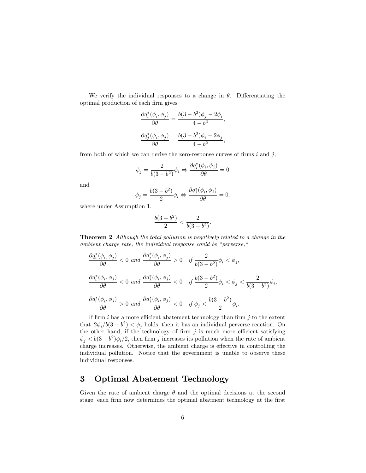We verify the individual responses to a change in  $\theta$ . Differentiating the optimal production of each Örm gives

$$
\frac{\partial q_i^*(\phi_i, \phi_j)}{\partial \theta} = \frac{b(3 - b^2)\phi_j - 2\phi_i}{4 - b^2},
$$

$$
\frac{\partial q_j^*(\phi_i, \phi_j)}{\partial \theta} = \frac{b(3 - b^2)\phi_i - 2\phi_j}{4 - b^2},
$$

from both of which we can derive the zero-response curves of firms  $i$  and  $j$ ,

$$
\phi_j = \frac{2}{b(3-b^2)} \phi_i \Leftrightarrow \frac{\partial q_i^*(\phi_i, \phi_j)}{\partial \theta} = 0
$$

and

$$
\phi_j = \frac{b(3-b^2)}{2} \phi_i \Leftrightarrow \frac{\partial q_j^*(\phi_i,\phi_j)}{\partial \theta} = 0.
$$

where under Assumption 1,

$$
\frac{b(3-b^2)}{2} < \frac{2}{b(3-b^2)}.
$$

Theorem 2 Although the total pollution is negatively related to a change in the ambient charge rate, the individual response could be "perverse,"

$$
\frac{\partial q_i^*(\phi_i, \phi_j)}{\partial \theta} < 0 \text{ and } \frac{\partial q_j^*(\phi_i, \phi_j)}{\partial \theta} > 0 \quad \text{if } \frac{2}{b(3-b^2)} \phi_i < \phi_j,
$$
\n
$$
\frac{\partial q_i^*(\phi_i, \phi_j)}{\partial \theta} < 0 \text{ and } \frac{\partial q_j^*(\phi_i, \phi_j)}{\partial \theta} < 0 \quad \text{if } \frac{b(3-b^2)}{2} \phi_i < \phi_j < \frac{2}{b(3-b^2)} \phi_i,
$$
\n
$$
\frac{\partial q_i^*(\phi_i, \phi_j)}{\partial \theta} > 0 \text{ and } \frac{\partial q_j^*(\phi_i, \phi_j)}{\partial \theta} < 0 \quad \text{if } \phi_j < \frac{b(3-b^2)}{2} \phi_i.
$$

If firm i has a more efficient abatement technology than firm  $j$  to the extent that  $2\phi_i/b(3-b^2) < \phi_j$  holds, then it has an individual perverse reaction. On the other hand, if the technology of firm  $j$  is much more efficient satisfying  $\phi_j < b(3-b^2)\phi_i/2$ , then firm j increases its pollution when the rate of ambient charge increases. Otherwise, the ambient charge is effective in controlling the individual pollution. Notice that the government is unable to observe these individual responses.

## 3 Optimal Abatement Technology

Given the rate of ambient charge  $\theta$  and the optimal decisions at the second stage, each firm now determines the optimal abatment technology at the first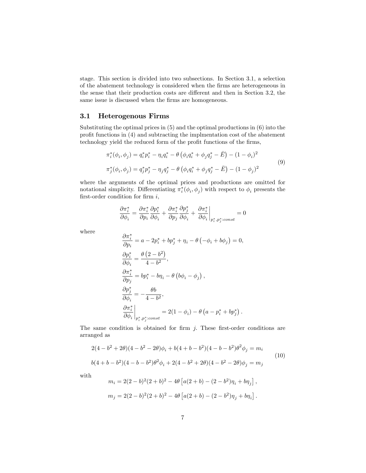stage. This section is divided into two subsections. In Section 3.1, a selection of the abatement technology is considered when the firms are heterogeneous in the sense that their production costs are different and then in Section 3.2, the same issue is discussed when the firms are homogeneous.

### 3.1 Heterogenous Firms

 $\sim$ 

Substituting the optimal prices in (5) and the optimal productions in (6) into the profit functions in  $(4)$  and subtracting the implmentation cost of the abatement technology yield the reduced form of the profit functions of the firms,

$$
\pi_i^*(\phi_i, \phi_j) = q_i^* p_i^* - \eta_i q_i^* - \theta \left( \phi_i q_i^* + \phi_j q_j^* - \bar{E} \right) - (1 - \phi_i)^2
$$
  

$$
\pi_j^*(\phi_i, \phi_j) = q_j^* p_j^* - \eta_j q_j^* - \theta \left( \phi_i q_i^* + \phi_j q_j^* - \bar{E} \right) - (1 - \phi_j)^2
$$
  
(9)

where the arguments of the optimal prices and productions are omitted for notational simplicity. Differentiating  $\pi_i^*(\phi_i, \phi_j)$  with respect to  $\phi_i$  presents the first-order condition for firm  $i$ ,

$$
\frac{\partial \pi_i^*}{\partial \phi_i} = \frac{\partial \pi_i^*}{\partial p_i} \frac{\partial p_i^*}{\partial \phi_i} + \frac{\partial \pi_i^*}{\partial p_j} \frac{\partial p_j^*}{\partial \phi_i} + \frac{\partial \pi_i^*}{\partial \phi_i} \bigg|_{p_i^*,p_j^*:const} = 0
$$

where

$$
\frac{\partial \pi_i^*}{\partial p_i} = a - 2p_i^* + bp_j^* + \eta_i - \theta \left( -\phi_i + b\phi_j \right) = 0,
$$
  
\n
$$
\frac{\partial p_i^*}{\partial \phi_i} = \frac{\theta (2 - b^2)}{4 - b^2},
$$
  
\n
$$
\frac{\partial \pi_i^*}{\partial p_j} = bp_i^* - b\eta_i - \theta \left( b\phi_i - \phi_j \right),
$$
  
\n
$$
\frac{\partial p_j^*}{\partial \phi_i} = -\frac{\theta b}{4 - b^2},
$$
  
\n
$$
\frac{\partial \pi_i^*}{\partial \phi_i} \bigg|_{p_i^*, p_j^* : const} = 2(1 - \phi_i) - \theta \left( a - p_i^* + b p_j^* \right).
$$

The same condition is obtained for firm  $j$ . These first-order conditions are arranged as

$$
2(4 - b2 + 2\theta)(4 - b2 - 2\theta)\phi_i + b(4 + b - b2)(4 - b - b2)\theta^2\phi_j = m_i
$$
  
\n
$$
b(4 + b - b2)(4 - b - b2)\theta^2\phi_i + 2(4 - b2 + 2\theta)(4 - b2 - 2\theta)\phi_j = m_j
$$
\n(10)

with

$$
m_i = 2(2 - b)^2 (2 + b)^2 - 4\theta \left[ a(2 + b) - (2 - b^2)\eta_i + b\eta_j \right],
$$
  

$$
m_j = 2(2 - b)^2 (2 + b)^2 - 4\theta \left[ a(2 + b) - (2 - b^2)\eta_j + b\eta_i \right].
$$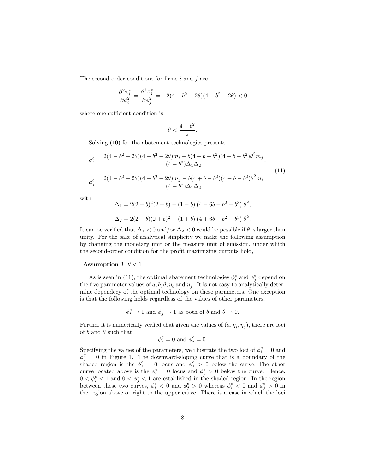The second-order conditions for firms  $i$  and  $j$  are

$$
\frac{\partial^2 \pi_i^*}{\partial \phi_i^2} = \frac{\partial^2 \pi_j^*}{\partial \phi_j^2} = -2(4 - b^2 + 2\theta)(4 - b^2 - 2\theta) < 0
$$

where one sufficient condition is

$$
\theta<\frac{4-b^2}{2}.
$$

Solving (10) for the abatement technologies presents

$$
\begin{aligned}\n\phi_i^e &= \frac{2(4 - b^2 + 2\theta)(4 - b^2 - 2\theta)m_i - b(4 + b - b^2)(4 - b - b^2)\theta^2m_j}{(4 - b^2)\Delta_1\Delta_2}, \\
\phi_j^e &= \frac{2(4 - b^2 + 2\theta)(4 - b^2 - 2\theta)m_j - b(4 + b - b^2)(4 - b - b^2)\theta^2m_i}{(4 - b^2)\Delta_1\Delta_2}.\n\end{aligned}
$$
\n(11)

with

$$
\Delta_1 = 2(2 - b)^2 (2 + b) - (1 - b) (4 - 6b - b^2 + b^3) \theta^2,
$$
  

$$
\Delta_2 = 2(2 - b)(2 + b)^2 - (1 + b) (4 + 6b - b^2 - b^3) \theta^2.
$$

It can be verified that  $\Delta_1 < 0$  and/or  $\Delta_2 < 0$  could be possible if  $\theta$  is larger than unity. For the sake of analytical simplicity we make the following assumption by changing the monetary unit or the measure unit of emission, under which the second-order condition for the profit maximizing outputs hold,

#### Assumption 3.  $\theta$  < 1.

As is seen in (11), the optimal abatement technologies  $\phi_i^e$  and  $\phi_j^e$  depend on the five parameter values of  $a, b, \theta, \eta_i$  and  $\eta_j$ . It is not easy to analytically determine dependecy of the optimal technology on these parameters. One exception is that the following holds regardless of the values of other parameters,

$$
\phi_i^e \rightarrow 1
$$
 and  $\phi_j^e \rightarrow 1$  as both of  $b$  and  $\theta \rightarrow 0$ .

Further it is numerically verfied that given the values of  $(a, \eta_i, \eta_j)$ , there are loci of b and  $\theta$  such that

$$
\phi_i^e = 0 \text{ and } \phi_j^e = 0.
$$

Specifying the values of the parameters, we illustrate the two loci of  $\phi_i^e = 0$  and  $\phi_j^e = 0$  in Figure 1. The downward-sloping curve that is a boundary of the shaded region is the  $\phi_j^e = 0$  locus and  $\phi_j^e > 0$  below the curve. The other curve located above is the  $\phi_i^e = 0$  locus and  $\phi_i^e > 0$  below the curve. Hence,  $0 < \phi_i^e < 1$  and  $0 < \phi_j^e < 1$  are established in the shaded region. In the region between these two curves,  $\phi_i^e < 0$  and  $\phi_j^e > 0$  whereas  $\phi_i^e < 0$  and  $\phi_j^e > 0$  in the region above or right to the upper curve. There is a case in which the loci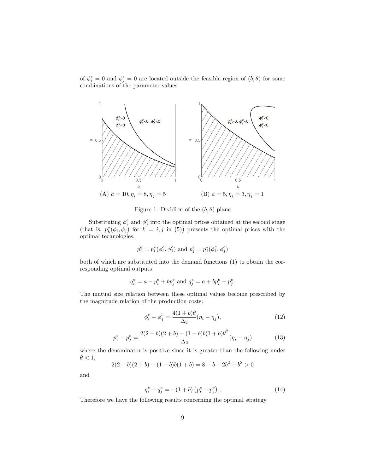of  $\phi_i^e = 0$  and  $\phi_j^e = 0$  are located outside the feasible region of  $(b, \theta)$  for some combinations of the parameter values.



Figure 1. Dividion of the  $(b, \theta)$  plane

Substituting  $\phi_i^e$  and  $\phi_j^e$  into the optimal prices obtained at the second stage (that is,  $p_k^*(\phi_i, \phi_j)$  for  $k = i, j$  in (5)) presents the optimal prices with the optimal technologies,

$$
p_i^e=p_i^*(\phi_i^e,\phi_j^e)
$$
 and  $p_j^e=p_j^*(\phi_i^e,\phi_j^e)$ 

both of which are substituted into the demand functions (1) to obtain the corresponding optimal outputs

$$
q_i^e = a - p_i^e + bp_j^e
$$
 and  $q_j^e = a + bp_i^e - p_j^e$ .

The mutual size relation between these optimal values become prescribed by the magnitude relation of the production costs:

$$
\phi_i^e - \phi_j^e = \frac{4(1+b)\theta}{\Delta_2}(\eta_i - \eta_j),\tag{12}
$$

$$
p_i^e - p_j^e = \frac{2(2-b)(2+b) - (1-b)b(1+b)\theta^2}{\Delta_2}(\eta_i - \eta_j)
$$
(13)

where the denominator is positive since it is greater than the following under  $\theta < 1$ ,

$$
2(2 – b)(2 + b) – (1 – b)b(1 + b) = 8 – b – 2b2 + b3 > 0
$$

and

$$
q_i^e - q_j^e = -(1+b)\left(p_i^e - p_j^e\right). \tag{14}
$$

Therefore we have the following results concerning the optimal strategy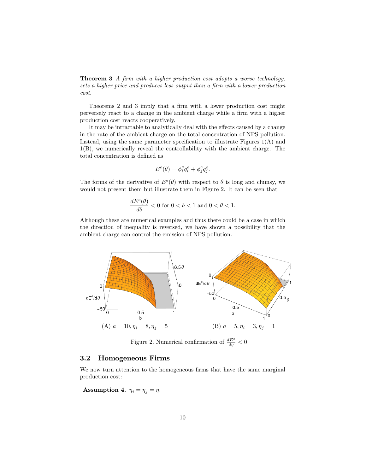**Theorem 3** A firm with a higher production cost adopts a worse technology, sets a higher price and produces less output than a firm with a lower production cost.

Theorems 2 and 3 imply that a firm with a lower production cost might perversely react to a change in the ambient charge while a firm with a higher production cost reacts cooperatively.

It may be intractable to analytically deal with the effects caused by a change in the rate of the ambient charge on the total concentration of NPS pollution. Instead, using the same parameter specification to illustrate Figures  $1(A)$  and 1(B), we numerically reveal the controllability with the ambient charge. The total concentration is defined as

$$
E^e(\theta) = \phi_i^e q_i^e + \phi_j^e q_j^e.
$$

The forms of the derivative of  $E^e(\theta)$  with respect to  $\theta$  is long and clumsy, we would not present them but illustrate them in Figure 2. It can be seen that

$$
\frac{dE^{e}(\theta)}{d\theta}<0 \text{ for } 0
$$

Although these are numerical examples and thus there could be a case in which the direction of inequality is reversed, we have shown a possibility that the ambient charge can control the emission of NPS pollution.



Figure 2. Numerical confirmation of  $\frac{dE^e}{d\eta} < 0$ 

### 3.2 Homogeneous Firms

We now turn attention to the homogeneous firms that have the same marginal production cost:

Assumption 4.  $\eta_i = \eta_j = \eta$ .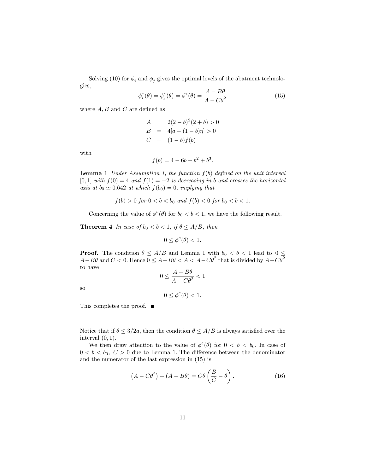Solving (10) for  $\phi_i$  and  $\phi_j$  gives the optimal levels of the abatment technologies,

$$
\phi_i^*(\theta) = \phi_j^*(\theta) = \phi^e(\theta) = \frac{A - B\theta}{A - C\theta^2}
$$
\n(15)

where  $A, B$  and  $C$  are defined as

$$
A = 2(2 - b)^{2}(2 + b) > 0
$$
  
\n
$$
B = 4[a - (1 - b)\eta] > 0
$$
  
\n
$$
C = (1 - b)f(b)
$$

with

$$
f(b) = 4 - 6b - b^2 + b^3.
$$

**Lemma 1** Under Assumption 1, the function  $f(b)$  defined on the unit interval [0,1] with  $f(0) = 4$  and  $f(1) = -2$  is decreasing in b and crosses the horizontal axis at  $b_0 \simeq 0.642$  at which  $f(b_0) = 0$ , implying that

$$
f(b) > 0 \text{ for } 0 < b < b_0 \text{ and } f(b) < 0 \text{ for } b_0 < b < 1.
$$

Concerning the value of  $\phi^e(\theta)$  for  $b_0 < b < 1$ , we have the following result.

**Theorem 4** In case of  $b_0 < b < 1$ , if  $\theta \leq A/B$ , then

 $0 \leq \phi^e(\theta) < 1.$ 

**Proof.** The condition  $\theta \leq A/B$  and Lemma 1 with  $b_0 < b < 1$  lead to  $0 \leq$  $A - B\theta$  and  $C < 0$ . Hence  $0 \leq A - B\theta < A < A - C\theta^2$  that is divided by  $A - C\theta^2$ to have

$$
_{\rm SO}
$$

$$
0 \le \frac{A - B\theta}{A - C\theta^2} < 1
$$

$$
0 \le \phi^e(\theta) < 1.
$$

This completes the proof. ■

Notice that if  $\theta \leq 3/2a$ , then the condition  $\theta \leq A/B$  is always satisfied over the interval  $(0, 1)$ .

We then draw attention to the value of  $\phi^e(\theta)$  for  $0 < b < b_0$ . In case of  $0 < b < b_0, C > 0$  due to Lemma 1. The difference between the denominator and the numerator of the last expression in (15) is

$$
(A - C\theta^2) - (A - B\theta) = C\theta \left(\frac{B}{C} - \theta\right). \tag{16}
$$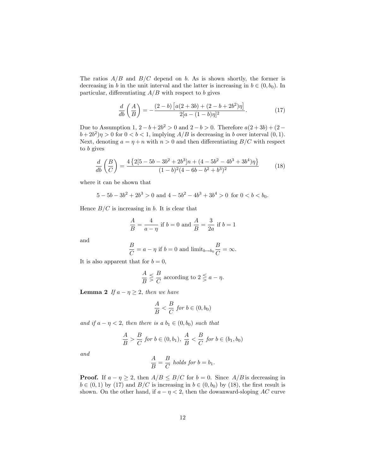The ratios  $A/B$  and  $B/C$  depend on b. As is shown shortly, the former is decreasing in b in the unit interval and the latter is increasing in  $b \in (0, b_0)$ . In particular, differentiating  $A/B$  with respect to b gives

$$
\frac{d}{db}\left(\frac{A}{B}\right) = -\frac{(2-b)\left[a(2+3b) + (2-b+2b^2)\eta\right]}{2[a-(1-b)\eta]^2}.
$$
\n(17)

Due to Assumption 1,  $2-b+2b^2 > 0$  and  $2-b > 0$ . Therefore  $a(2+3b) + (2-b)(2-b)$  $b + 2b^2$ ) $\eta > 0$  for  $0 < b < 1$ , implying  $A/B$  is decreasing in b over interval  $(0, 1)$ . Next, denoting  $a = \eta + n$  with  $n > 0$  and then differentiating  $B/C$  with respect to b gives

$$
\frac{d}{db}\left(\frac{B}{C}\right) = \frac{4\left\{2\left[5 - 5b - 3b^2 + 2b^3\right]n + \left(4 - 5b^2 - 4b^3 + 3b^4\right)\eta\right\}}{(1 - b)^2(4 - 6b - b^2 + b^3)^2}
$$
(18)

where it can be shown that

$$
5-5b-3b^2+2b^3>0
$$
 and  $4-5b^2-4b^3+3b^4>0$  for  $0 < b < b_0$ .

Hence  $B/C$  is increasing in b. It is clear that

$$
\frac{A}{B} = \frac{4}{a - \eta}
$$
 if  $b = 0$  and  $\frac{A}{B} = \frac{3}{2a}$  if  $b = 1$ 

and

$$
\frac{B}{C} = a - \eta \text{ if } b = 0 \text{ and } \text{limit}_{b \to b_0} \frac{B}{C} = \infty.
$$

It is also apparent that for  $b = 0$ ,

$$
\frac{A}{B} \leq \frac{B}{C}
$$
 according to  $2 \leq a - \eta$ .

**Lemma 2** If  $a - \eta \geq 2$ , then we have

$$
\frac{A}{B} < \frac{B}{C} \text{ for } b \in (0, b_0)
$$

and if  $a - \eta < 2$ , then there is a  $b_1 \in (0, b_0)$  such that

$$
\frac{A}{B} > \frac{B}{C} \text{ for } b \in (0, b_1), \frac{A}{B} < \frac{B}{C} \text{ for } b \in (b_1, b_0)
$$

and

$$
\frac{A}{B} = \frac{B}{C} \text{ holds for } b = b_1.
$$

**Proof.** If  $a - \eta \geq 2$ , then  $A/B \leq B/C$  for  $b = 0$ . Since  $A/B$  is decreasing in  $b \in (0, 1)$  by (17) and  $B/C$  is increasing in  $b \in (0, b_0)$  by (18), the first result is shown. On the other hand, if  $a - \eta < 2$ , then the dowanward-sloping AC curve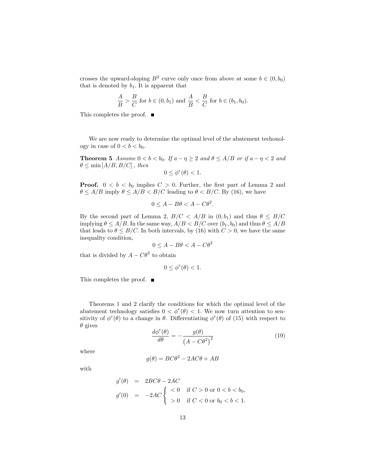crosses the upward-sloping  $B^2$  curve only once from above at some  $b \in (0, b_0)$ that is denoted by  $b_1$ . It is apparent that

$$
\frac{A}{B} > \frac{B}{C}
$$
 for  $b \in (0, b_1)$  and  $\frac{A}{B} < \frac{B}{C}$  for  $b \in (b_1, b_0)$ .

This completes the proof. ■

We are now ready to determine the optimal level of the abatement techonology in case of  $0 < b < b_0$ .

**Theorem 5** Assume  $0 < b < b_0$ . If  $a - \eta \geq 2$  and  $\theta \leq A/B$  or if  $a - \eta < 2$  and  $\theta \leq \min\left[A/B,B/C\right]$ , then

$$
0\leq \phi^e(\theta)<1.
$$

**Proof.**  $0 < b < b_0$  implies  $C > 0$ . Further, the first part of Lemma 2 and  $\theta \leq A/B$  imply  $\theta \leq A/B < B/C$  leading to  $\theta < B/C$ . By (16), we have

$$
0 \le A - B\theta < A - C\theta^2.
$$

By the second part of Lemma 2,  $B/C < A/B$  in  $(0,b_1)$  and thus  $\theta \leq B/C$ implying  $\theta \leq A/B$ . In the same way,  $A/B < B/C$  over  $(b_1, b_0)$  and thus  $\theta \leq A/B$ that leads to  $\theta \leq B/C$ . In both intervals, by (16) with  $C > 0$ , we have the same inequality condition,

$$
0 \le A - B\theta < A - C\theta^2
$$

that is divided by  $A - C\theta^2$  to obtain

 $0 \leq \phi^e(\theta) < 1.$ 

This completes the proof. ■

Theorems 1 and 2 clarify the conditions for which the optimal level of the abatement technology satisfies  $0 < \phi^e(\theta) < 1$ . We now turn attention to sensitivity of  $\phi^e(\theta)$  to a change in  $\theta$ . Differentiating  $\phi^e(\theta)$  of (15) with respect to  $\theta$  gives

$$
\frac{d\phi^{e}(\theta)}{d\theta} = -\frac{g(\theta)}{(A - C\theta^{2})^{2}}
$$
(19)

where

$$
g(\theta) = BC\theta^2 - 2AC\theta + AB
$$

with

$$
g'(\theta) = 2BC\theta - 2AC
$$
  
\n
$$
g'(0) = -2AC \begin{cases} < 0 & \text{if } C > 0 \text{ or } 0 < b < b_0, \\ > 0 & \text{if } C < 0 \text{ or } b_0 < b < 1. \end{cases}
$$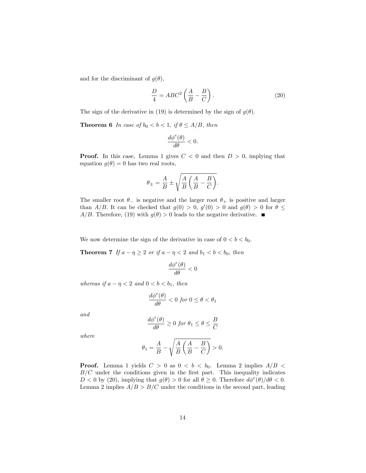and for the discriminant of  $g(\theta)$ ,

$$
\frac{D}{4} = ABC^2 \left(\frac{A}{B} - \frac{B}{C}\right). \tag{20}
$$

The sign of the derivative in (19) is determined by the sign of  $g(\theta)$ .

**Theorem 6** In case of  $b_0 < b < 1$ , if  $\theta \leq A/B$ , then

$$
\frac{d\phi^e(\theta)}{d\theta}<0.
$$

**Proof.** In this case, Lemma 1 gives  $C < 0$  and then  $D > 0$ , implying that equation  $g(\theta) = 0$  has two real roots,

$$
\theta_{\pm}=\frac{A}{B}\pm\sqrt{\frac{A}{B}\left(\frac{A}{B}-\frac{B}{C}\right)}.
$$

The smaller root  $\theta_-$  is negative and the larger root  $\theta_+$  is positive and larger than  $A/B$ . It can be checked that  $g(0) > 0$ ,  $g'(0) > 0$  and  $g(\theta) > 0$  for  $\theta \le$  $A/B$ . Therefore, (19) with  $g(\theta) > 0$  leads to the negative derivative.

We now determine the sign of the derivative in case of  $0 < b < b_0$ .

**Theorem 7** If  $a - \eta \ge 2$  or if  $a - \eta < 2$  and  $b_1 < b < b_0$ , then

$$
\frac{d\phi^{e}(\theta)}{d\theta}<0
$$

whereas if  $a - \eta < 2$  and  $0 < b < b_1$ , then

$$
\frac{d\phi^e(\theta)}{d\theta} < 0 \text{ for } 0 \le \theta < \theta_1
$$

and

$$
\frac{d\phi^{e}(\theta)}{d\theta} \ge 0 \text{ for } \theta_1 \le \theta \le \frac{B}{C}
$$

where

$$
\theta_1 = \frac{A}{B} - \sqrt{\frac{A}{B} \left(\frac{A}{B} - \frac{B}{C}\right)} > 0.
$$

**Proof.** Lemma 1 yields  $C > 0$  as  $0 < b < b_0$ . Lemma 2 implies  $A/B <$  $B/C$  under the conditions given in the first part. This inequality indicates  $D < 0$  by (20), implying that  $g(\theta) > 0$  for all  $\theta \ge 0$ . Therefore  $d\phi^e(\theta)/d\theta < 0$ . Lemma 2 implies  $A/B > B/C$  under the conditions in the second part, leading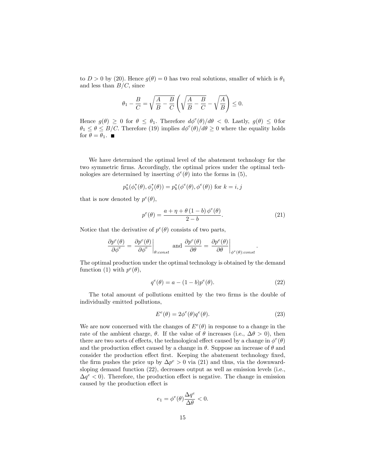to  $D > 0$  by (20). Hence  $g(\theta) = 0$  has two real solutions, smaller of which is  $\theta_1$ and less than  $B/C$ , since

$$
\theta_1 - \frac{B}{C} = \sqrt{\frac{A}{B} - \frac{B}{C}} \left( \sqrt{\frac{A}{B} - \frac{B}{C}} - \sqrt{\frac{A}{B}} \right) \le 0.
$$

Hence  $g(\theta) \geq 0$  for  $\theta \leq \theta_1$ . Therefore  $d\phi^e(\theta)/d\theta < 0$ . Lastly,  $g(\theta) \leq 0$  for  $\theta_1 \leq \theta \leq B/C$ . Therefore (19) implies  $d\phi^e(\theta)/d\theta \geq 0$  where the equality holds for  $\theta = \theta_1$ .

We have determined the optimal level of the abatement technology for the two symmetric firms. Accordingly, the optimal prices under the optimal technologies are determined by inserting  $\phi^e(\theta)$  into the forms in (5),

$$
p_k^*(\phi_i^*(\theta),\phi_j^*(\theta)) = p_k^*(\phi^e(\theta),\phi^e(\theta))
$$
 for  $k = i,j$ 

that is now denoted by  $p^e(\theta)$ ,

$$
p^{e}(\theta) = \frac{a + \eta + \theta (1 - b) \phi^{e}(\theta)}{2 - b}.
$$
 (21)

Notice that the derivative of  $p^{e}(\theta)$  consists of two parts,

$$
\frac{\partial p^e(\theta)}{\partial \phi^e} = \left. \frac{\partial p^e(\theta)}{\partial \phi^e} \right|_{\theta: const} \text{ and } \frac{\partial p^e(\theta)}{\partial \theta} = \left. \frac{\partial p^e(\theta)}{\partial \theta} \right|_{\phi^e(\theta): const}.
$$

The optimal production under the optimal technology is obtained by the demand function (1) with  $p^e(\theta)$ ,

$$
q^{e}(\theta) = a - (1 - b)p^{e}(\theta).
$$
 (22)

The total amount of pollutions emitted by the two firms is the double of individually emitted pollutions,

$$
E^{e}(\theta) = 2\phi^{e}(\theta)q^{e}(\theta). \tag{23}
$$

We are now concerned with the changes of  $E^e(\theta)$  in response to a change in the rate of the ambient charge,  $\theta$ . If the value of  $\theta$  increases (i.e.,  $\Delta\theta > 0$ ), then there are two sorts of effects, the technological effect caused by a change in  $\phi^e(\theta)$ and the production effect caused by a change in  $\theta$ . Suppose an increase of  $\theta$  and consider the production effect first. Keeping the abatement technology fixed, the firm pushes the price up by  $\Delta p^e > 0$  via (21) and thus, via the downwardsloping demand function (22), decreases output as well as emission levels (i.e.,  $\Delta q^e$  < 0). Therefore, the production effect is negative. The change in emission caused by the production effect is

$$
e_1 = \phi^e(\theta) \frac{\Delta q^e}{\Delta \theta} < 0.
$$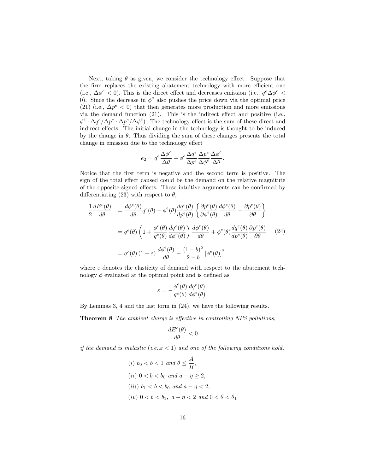Next, taking  $\theta$  as given, we consider the technology effect. Suppose that the firm replaces the existing abatement technology with more efficient one (i.e.,  $\Delta\phi^e$  < 0). This is the direct effect and decreases emission (i.e.,  $q^e \Delta\phi^e$  < 0). Since the decrease in  $\phi^e$  also pushes the price down via the optimal price (21) (i.e.,  $\Delta p^e$  < 0) that then generates more production and more emissions via the demand function  $(21)$ . This is the indirect effect and positive (i.e.,  $\phi^e \cdot \Delta q^e / \Delta p^e \cdot \Delta p^e / \Delta \phi^e$ ). The technology effect is the sum of these direct and indirect effects. The initial change in the technology is thought to be induced by the change in  $\theta$ . Thus dividing the sum of these changes presents the total change in emission due to the technology effect

$$
e_2 = q^e \frac{\Delta \phi^e}{\Delta \theta} + \phi^e \frac{\Delta q^e}{\Delta p^e} \frac{\Delta p^e}{\Delta \phi^e} \frac{\Delta \phi^e}{\Delta \theta}.
$$

Notice that the first term is negative and the second term is positive. The sign of the total effect caused could be the demand on the relative magnitute of the opposite signed effects. These intuitive arguments can be confirmed by differentiating (23) with respect to  $\theta$ ,

$$
\frac{1}{2}\frac{dE^{e}(\theta)}{d\theta} = \frac{d\phi^{e}(\theta)}{d\theta}q^{e}(\theta) + \phi^{e}(\theta)\frac{dq^{e}(\theta)}{dp^{e}(\theta)}\left\{\frac{\partial p^{e}(\theta)}{\partial \phi^{e}(\theta)}\frac{d\phi^{e}(\theta)}{d\theta} + \frac{\partial p^{e}(\theta)}{\partial \theta}\right\}
$$

$$
= q^{e}(\theta)\left(1 + \frac{\phi^{e}(\theta)}{q^{e}(\theta)}\frac{dq^{e}(\theta)}{d\phi^{e}(\theta)}\right)\frac{d\phi^{e}(\theta)}{d\theta} + \phi^{e}(\theta)\frac{dq^{e}(\theta)}{dp^{e}(\theta)}\frac{\partial p^{e}(\theta)}{\partial \theta}
$$
(24)
$$
= q^{e}(\theta)(1 - \varepsilon)\frac{d\phi^{e}(\theta)}{d\theta} - \frac{(1 - b)^{2}}{2 - b}[\phi^{e}(\theta)]^{2}
$$

where  $\varepsilon$  denotes the elasticity of demand with respect to the abatement technology  $\phi$  evaluated at the optimal point and is defined as

$$
\varepsilon=-\frac{\phi^e(\theta)}{q^e(\theta)}\frac{dq^e(\theta)}{d\phi^e(\theta)}.
$$

By Lemmas 3, 4 and the last form in (24), we have the following results.

Theorem 8 The ambient charge is effective in controlling NPS pollutions,

$$
\frac{dE^{e}(\theta)}{d\theta}<0
$$

if the demand is inelastic (i.e., $\varepsilon$  < 1) and one of the following conditions hold,

(i) 
$$
b_0 < b < 1
$$
 and  $\theta \le \frac{A}{B}$ ,  
\n(ii)  $0 < b < b_0$  and  $a - \eta \ge 2$ ,  
\n(iii)  $b_1 < b < b_0$  and  $a - \eta < 2$ ,  
\n(iv)  $0 < b < b_1$ ,  $a - \eta < 2$  and  $0 < \theta < \theta_1$